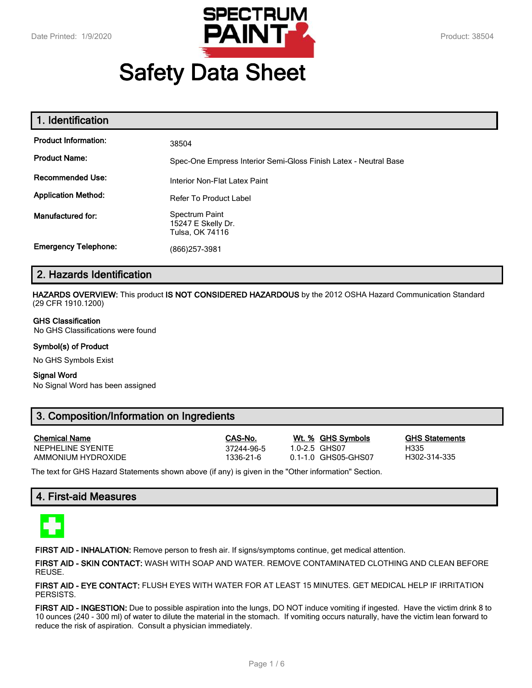

# **Safety Data Sheet**

| 1. Identification           |                                                                  |
|-----------------------------|------------------------------------------------------------------|
| <b>Product Information:</b> | 38504                                                            |
| <b>Product Name:</b>        | Spec-One Empress Interior Semi-Gloss Finish Latex - Neutral Base |
| <b>Recommended Use:</b>     | Interior Non-Flat Latex Paint                                    |
| <b>Application Method:</b>  | Refer To Product Label                                           |
| <b>Manufactured for:</b>    | Spectrum Paint<br>15247 E Skelly Dr.<br>Tulsa, OK 74116          |
| <b>Emergency Telephone:</b> | (866)257-3981                                                    |

# **2. Hazards Identification**

**HAZARDS OVERVIEW:** This product **IS NOT CONSIDERED HAZARDOUS** by the 2012 OSHA Hazard Communication Standard (29 CFR 1910.1200)

#### **GHS Classification**

No GHS Classifications were found

#### **Symbol(s) of Product**

No GHS Symbols Exist

#### **Signal Word**

No Signal Word has been assigned

# **3. Composition/Information on Ingredients**

| <b>Chemical Name</b> |
|----------------------|
| NEPHELINE SYENITE    |
| AMMONIUM HYDROXIDE   |

**Chemical Name CAS-No. Wt. % GHS Symbols GHS Statements** 12244-96-5 1.0-2.5 GHS07 1.0-2.5 H335<br>1336-21-6 1.1-1.0 GHS05-GHS07 H302-314-335 1336-21-6 0.1-1.0 GHS05-GHS07

The text for GHS Hazard Statements shown above (if any) is given in the "Other information" Section.

# **4. First-aid Measures**



**FIRST AID - INHALATION:** Remove person to fresh air. If signs/symptoms continue, get medical attention.

**FIRST AID - SKIN CONTACT:** WASH WITH SOAP AND WATER. REMOVE CONTAMINATED CLOTHING AND CLEAN BEFORE REUSE.

**FIRST AID - EYE CONTACT:** FLUSH EYES WITH WATER FOR AT LEAST 15 MINUTES. GET MEDICAL HELP IF IRRITATION PERSISTS.

**FIRST AID - INGESTION:** Due to possible aspiration into the lungs, DO NOT induce vomiting if ingested. Have the victim drink 8 to 10 ounces (240 - 300 ml) of water to dilute the material in the stomach. If vomiting occurs naturally, have the victim lean forward to reduce the risk of aspiration. Consult a physician immediately.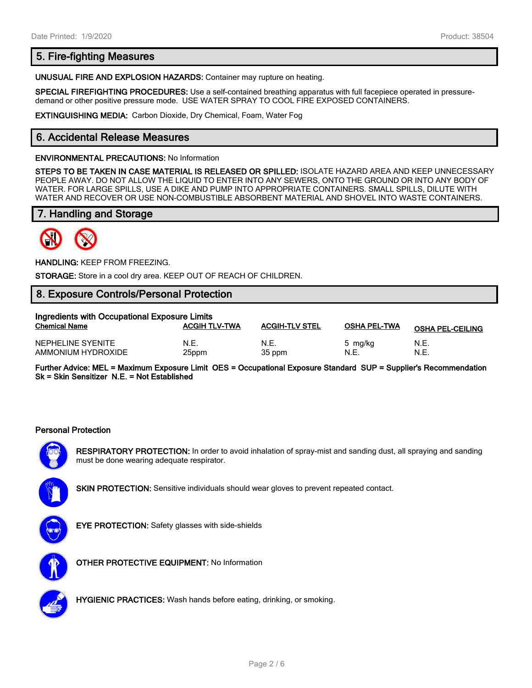# **5. Fire-fighting Measures**

**UNUSUAL FIRE AND EXPLOSION HAZARDS:** Container may rupture on heating.

**SPECIAL FIREFIGHTING PROCEDURES:** Use a self-contained breathing apparatus with full facepiece operated in pressuredemand or other positive pressure mode. USE WATER SPRAY TO COOL FIRE EXPOSED CONTAINERS.

**EXTINGUISHING MEDIA:** Carbon Dioxide, Dry Chemical, Foam, Water Fog

# **6. Accidental Release Measures**

#### **ENVIRONMENTAL PRECAUTIONS:** No Information

**STEPS TO BE TAKEN IN CASE MATERIAL IS RELEASED OR SPILLED:** ISOLATE HAZARD AREA AND KEEP UNNECESSARY PEOPLE AWAY. DO NOT ALLOW THE LIQUID TO ENTER INTO ANY SEWERS, ONTO THE GROUND OR INTO ANY BODY OF WATER. FOR LARGE SPILLS, USE A DIKE AND PUMP INTO APPROPRIATE CONTAINERS. SMALL SPILLS, DILUTE WITH WATER AND RECOVER OR USE NON-COMBUSTIBLE ABSORBENT MATERIAL AND SHOVEL INTO WASTE CONTAINERS.

# **7. Handling and Storage**



**HANDLING:** KEEP FROM FREEZING.

**STORAGE:** Store in a cool dry area. KEEP OUT OF REACH OF CHILDREN.

# **8. Exposure Controls/Personal Protection**

| Ingredients with Occupational Exposure Limits |                      |                       |                     |                         |  |
|-----------------------------------------------|----------------------|-----------------------|---------------------|-------------------------|--|
| <b>Chemical Name</b>                          | <b>ACGIH TLV-TWA</b> | <b>ACGIH-TLV STEL</b> | <b>OSHA PEL-TWA</b> | <b>OSHA PEL-CEILING</b> |  |
| NEPHELINE SYENITE<br>AMMONIUM HYDROXIDE       | N.E.<br>25ppm        | N.E.<br>35 ppm        | 5 mg/kg<br>N.E.     | N.E<br>N.E.             |  |

**Further Advice: MEL = Maximum Exposure Limit OES = Occupational Exposure Standard SUP = Supplier's Recommendation Sk = Skin Sensitizer N.E. = Not Established**

#### **Personal Protection**



**RESPIRATORY PROTECTION:** In order to avoid inhalation of spray-mist and sanding dust, all spraying and sanding must be done wearing adequate respirator.

**SKIN PROTECTION:** Sensitive individuals should wear gloves to prevent repeated contact.



**EYE PROTECTION:** Safety glasses with side-shields



**OTHER PROTECTIVE EQUIPMENT:** No Information



**HYGIENIC PRACTICES:** Wash hands before eating, drinking, or smoking.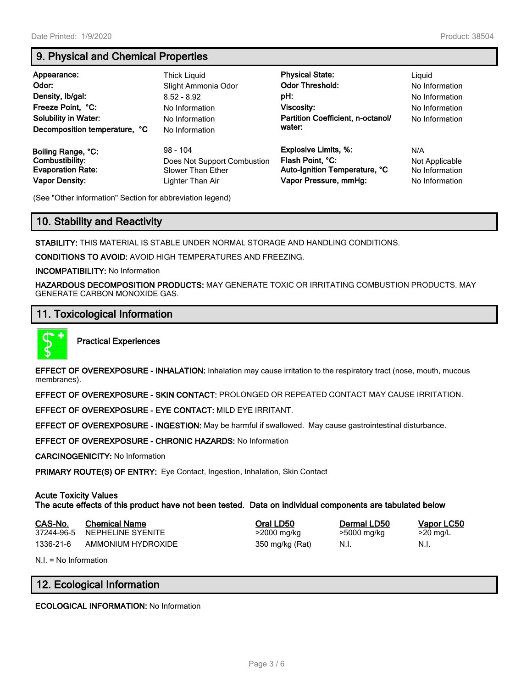# **9. Physical and Chemical Properties**

| Appearance:<br>Odor:<br>Density, Ib/gal:<br>Freeze Point, °C:<br><b>Solubility in Water:</b><br>Decomposition temperature, °C | Thick Liguid<br>Slight Ammonia Odor<br>$8.52 - 8.92$<br>No Information<br>No Information<br>No Information | <b>Physical State:</b><br><b>Odor Threshold:</b><br>pH:<br>Viscosity:<br>Partition Coefficient, n-octanol/<br>water: | Liguid<br>No Information<br>No Information<br>No Information<br>No Information |
|-------------------------------------------------------------------------------------------------------------------------------|------------------------------------------------------------------------------------------------------------|----------------------------------------------------------------------------------------------------------------------|--------------------------------------------------------------------------------|
| Boiling Range, °C:                                                                                                            | $98 - 104$                                                                                                 | <b>Explosive Limits, %:</b>                                                                                          | N/A                                                                            |
| Combustibility:                                                                                                               | Does Not Support Combustion                                                                                | Flash Point, °C:                                                                                                     | Not Applicable                                                                 |
| <b>Evaporation Rate:</b>                                                                                                      | Slower Than Ether                                                                                          | Auto-Ignition Temperature, °C                                                                                        | No Information                                                                 |
| <b>Vapor Density:</b>                                                                                                         | Lighter Than Air                                                                                           | Vapor Pressure, mmHg:                                                                                                | No Information                                                                 |

(See "Other information" Section for abbreviation legend)

# **10. Stability and Reactivity**

**STABILITY:** THIS MATERIAL IS STABLE UNDER NORMAL STORAGE AND HANDLING CONDITIONS.

**CONDITIONS TO AVOID:** AVOID HIGH TEMPERATURES AND FREEZING.

**INCOMPATIBILITY:** No Information

**HAZARDOUS DECOMPOSITION PRODUCTS:** MAY GENERATE TOXIC OR IRRITATING COMBUSTION PRODUCTS. MAY GENERATE CARBON MONOXIDE GAS.

## **11. Toxicological Information**



**Practical Experiences**

**EFFECT OF OVEREXPOSURE - INHALATION:** Inhalation may cause irritation to the respiratory tract (nose, mouth, mucous membranes).

**EFFECT OF OVEREXPOSURE - SKIN CONTACT:** PROLONGED OR REPEATED CONTACT MAY CAUSE IRRITATION.

**EFFECT OF OVEREXPOSURE - EYE CONTACT:** MILD EYE IRRITANT.

**EFFECT OF OVEREXPOSURE - INGESTION:** May be harmful if swallowed. May cause gastrointestinal disturbance.

**EFFECT OF OVEREXPOSURE - CHRONIC HAZARDS:** No Information

**CARCINOGENICITY:** No Information

**PRIMARY ROUTE(S) OF ENTRY:** Eye Contact, Ingestion, Inhalation, Skin Contact

#### **Acute Toxicity Values**

**The acute effects of this product have not been tested. Data on individual components are tabulated below**

| CAS-No.    | <b>Chemical Name</b> | Oral LD50       | Dermal LD50 | Vapor LC50 |
|------------|----------------------|-----------------|-------------|------------|
| 37244-96-5 | NEPHELINE SYENITE    | $>$ 2000 mg/kg  | >5000 mg/kg | $>20$ mg/L |
| 1336-21-6  | AMMONIUM HYDROXIDE   | 350 mg/kg (Rat) | - N.I.      | N.I.       |

N.I. = No Information

# **12. Ecological Information**

**ECOLOGICAL INFORMATION:** No Information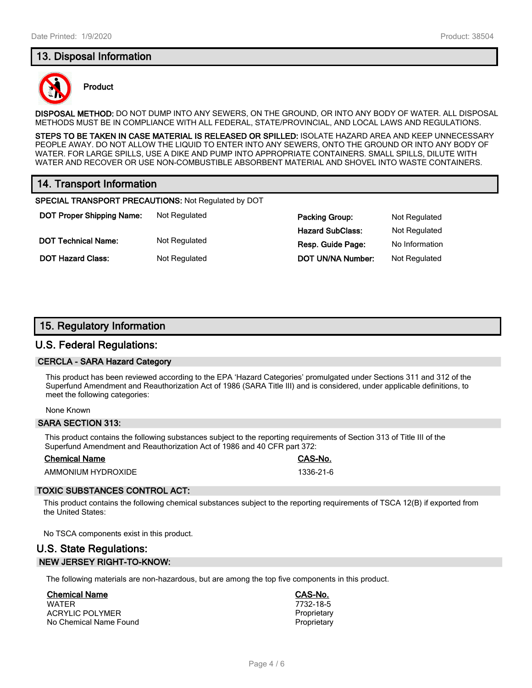# **13. Disposal Information**



#### **Product**

**DISPOSAL METHOD:** DO NOT DUMP INTO ANY SEWERS, ON THE GROUND, OR INTO ANY BODY OF WATER. ALL DISPOSAL METHODS MUST BE IN COMPLIANCE WITH ALL FEDERAL, STATE/PROVINCIAL, AND LOCAL LAWS AND REGULATIONS.

**STEPS TO BE TAKEN IN CASE MATERIAL IS RELEASED OR SPILLED:** ISOLATE HAZARD AREA AND KEEP UNNECESSARY PEOPLE AWAY. DO NOT ALLOW THE LIQUID TO ENTER INTO ANY SEWERS, ONTO THE GROUND OR INTO ANY BODY OF WATER. FOR LARGE SPILLS, USE A DIKE AND PUMP INTO APPROPRIATE CONTAINERS. SMALL SPILLS, DILUTE WITH WATER AND RECOVER OR USE NON-COMBUSTIBLE ABSORBENT MATERIAL AND SHOVEL INTO WASTE CONTAINERS.

# **14. Transport Information**

**SPECIAL TRANSPORT PRECAUTIONS:** Not Regulated by DOT

**DOT Proper Shipping Name:** Not Regulated **DOT Technical Name:** Not Regulated

**DOT Hazard Class:** Not Regulated

| Packing Group:    | Not Regulated  |
|-------------------|----------------|
| Hazard SubClass:  | Not Regulated  |
| Resp. Guide Page: | No Information |
| DOT UN/NA Number: | Not Regulated  |

## **15. Regulatory Information**

#### **U.S. Federal Regulations:**

#### **CERCLA - SARA Hazard Category**

This product has been reviewed according to the EPA 'Hazard Categories' promulgated under Sections 311 and 312 of the Superfund Amendment and Reauthorization Act of 1986 (SARA Title III) and is considered, under applicable definitions, to meet the following categories:

#### None Known

#### **SARA SECTION 313:**

This product contains the following substances subject to the reporting requirements of Section 313 of Title III of the Superfund Amendment and Reauthorization Act of 1986 and 40 CFR part 372:

#### **Chemical Name CAS-No.**

AMMONIUM HYDROXIDE 1336-21-6

#### **TOXIC SUBSTANCES CONTROL ACT:**

This product contains the following chemical substances subject to the reporting requirements of TSCA 12(B) if exported from the United States:

No TSCA components exist in this product.

# **U.S. State Regulations: NEW JERSEY RIGHT-TO-KNOW:**

The following materials are non-hazardous, but are among the top five components in this product.

## **Chemical Name CAS-No.**

WATER 7732-18-5 **ACRYLIC POLYMER** No Chemical Name Found **Proprietary Proprietary**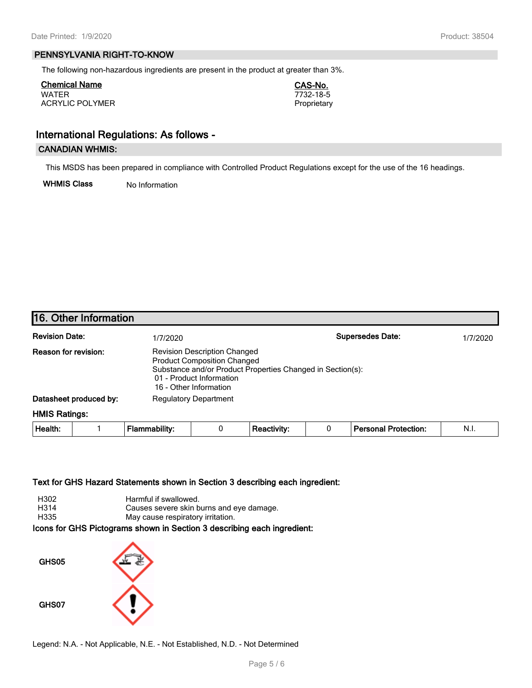#### **PENNSYLVANIA RIGHT-TO-KNOW**

The following non-hazardous ingredients are present in the product at greater than 3%.

**Chemical Name CAS-No.** WATER 7732-18-5 ACRYLIC POLYMER **Proprietary** 

# **International Regulations: As follows -**

## **CANADIAN WHMIS:**

This MSDS has been prepared in compliance with Controlled Product Regulations except for the use of the 16 headings.

**WHMIS Class** No Information

# **16. Other Information**

| <b>Revision Date:</b>       | 1/7/2020                                                                                                                                                                                      | <b>Supersedes Date:</b> | 1/7/2020 |
|-----------------------------|-----------------------------------------------------------------------------------------------------------------------------------------------------------------------------------------------|-------------------------|----------|
| <b>Reason for revision:</b> | <b>Revision Description Changed</b><br><b>Product Composition Changed</b><br>Substance and/or Product Properties Changed in Section(s):<br>01 - Product Information<br>16 - Other Information |                         |          |
| Datasheet produced by:      | <b>Regulatory Department</b>                                                                                                                                                                  |                         |          |

#### **HMIS Ratings:**

| Health: |  | Flammability: |  | . Reactivity <sup>.</sup> |  | └ Personal Protection: | - N.i. |
|---------|--|---------------|--|---------------------------|--|------------------------|--------|
|---------|--|---------------|--|---------------------------|--|------------------------|--------|

#### **Text for GHS Hazard Statements shown in Section 3 describing each ingredient:**

| H302 | Harmful if swallowed.                    |
|------|------------------------------------------|
| H314 | Causes severe skin burns and eve damage. |
| H335 | May cause respiratory irritation.        |

#### **Icons for GHS Pictograms shown in Section 3 describing each ingredient:**



Legend: N.A. - Not Applicable, N.E. - Not Established, N.D. - Not Determined